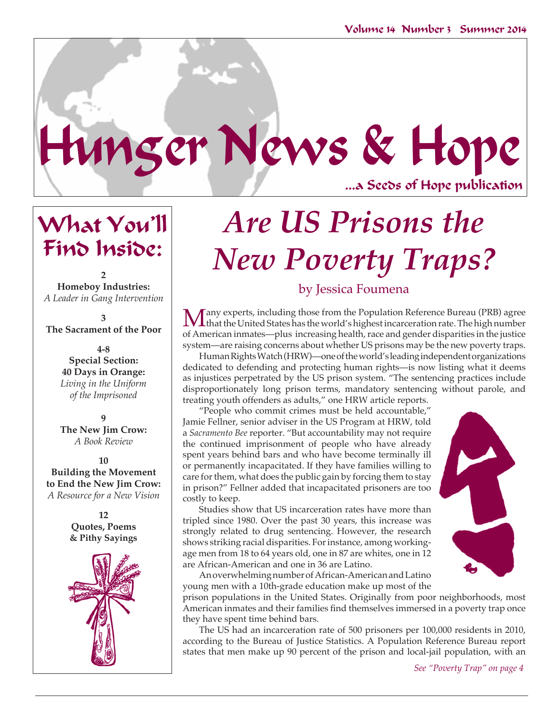...a Seeds of Hope publication

What You'll Find Inside:

*Are US Prisons the New Poverty Traps?*

**2 Homeboy Industries:** *A Leader in Gang Intervention*

**3 The Sacrament of the Poor**

> **4-8 Special Section: 40 Days in Orange:**  *Living in the Uniform of the Imprisoned*

> **9 The New Jim Crow:** *A Book Review*

**10 Building the Movement to End the New Jim Crow:** *A Resource for a New Vision*

> **12 Quotes, Poems & Pithy Sayings**



# by Jessica Foumena

Many experts, including those from the Population Reference Bureau (PRB) agree that the United States has the world's highest incarceration rate. The high number of American inmates—plus increasing health, race and gender disparities in the justice system—are raising concerns about whether US prisons may be the new poverty traps.

Human Rights Watch (HRW)—one of the world's leading independent organizations dedicated to defending and protecting human rights—is now listing what it deems as injustices perpetrated by the US prison system. "The sentencing practices include disproportionately long prison terms, mandatory sentencing without parole, and treating youth offenders as adults," one HRW article reports.

"People who commit crimes must be held accountable," Jamie Fellner, senior adviser in the US Program at HRW, told a *Sacramento Bee* reporter. "But accountability may not require the continued imprisonment of people who have already spent years behind bars and who have become terminally ill or permanently incapacitated. If they have families willing to care for them, what does the public gain by forcing them to stay in prison?" Fellner added that incapacitated prisoners are too costly to keep.

Hunger News & Hope

Studies show that US incarceration rates have more than tripled since 1980. Over the past 30 years, this increase was strongly related to drug sentencing. However, the research shows striking racial disparities. For instance, among workingage men from 18 to 64 years old, one in 87 are whites, one in 12 are African-American and one in 36 are Latino.

An overwhelming number of African-American and Latino young men with a 10th-grade education make up most of the



prison populations in the United States. Originally from poor neighborhoods, most American inmates and their families find themselves immersed in a poverty trap once they have spent time behind bars.

The US had an incarceration rate of 500 prisoners per 100,000 residents in 2010, according to the Bureau of Justice Statistics. A Population Reference Bureau report states that men make up 90 percent of the prison and local-jail population, with an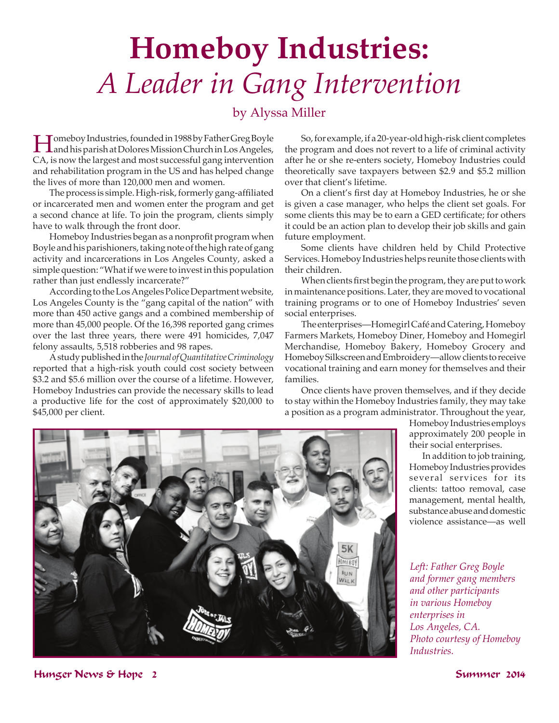# **Homeboy Industries:**  *A Leader in Gang Intervention*

# by Alyssa Miller

Homeboy Industries, founded in 1988 by Father Greg Boyle and his parish at Dolores Mission Church in Los Angeles, CA, is now the largest and most successful gang intervention and rehabilitation program in the US and has helped change the lives of more than 120,000 men and women.

The process is simple. High-risk, formerly gang-affiliated or incarcerated men and women enter the program and get a second chance at life. To join the program, clients simply have to walk through the front door.

Homeboy Industries began as a nonprofit program when Boyle and his parishioners, taking note of the high rate of gang activity and incarcerations in Los Angeles County, asked a simple question: "What if we were to invest in this population rather than just endlessly incarcerate?"

According to the Los Angeles Police Department website, Los Angeles County is the "gang capital of the nation" with more than 450 active gangs and a combined membership of more than 45,000 people. Of the 16,398 reported gang crimes over the last three years, there were 491 homicides, 7,047 felony assaults, 5,518 robberies and 98 rapes.

A study published in the *Journal of Quantitative Criminology* reported that a high-risk youth could cost society between \$3.2 and \$5.6 million over the course of a lifetime. However, Homeboy Industries can provide the necessary skills to lead a productive life for the cost of approximately \$20,000 to \$45,000 per client.

So, for example, if a 20-year-old high-risk client completes the program and does not revert to a life of criminal activity after he or she re-enters society, Homeboy Industries could theoretically save taxpayers between \$2.9 and \$5.2 million over that client's lifetime.

On a client's first day at Homeboy Industries, he or she is given a case manager, who helps the client set goals. For some clients this may be to earn a GED certificate; for others it could be an action plan to develop their job skills and gain future employment.

Some clients have children held by Child Protective Services. Homeboy Industries helps reunite those clients with their children.

When clients first begin the program, they are put to work in maintenance positions. Later, they are moved to vocational training programs or to one of Homeboy Industries' seven social enterprises.

The enterprises—Homegirl Café and Catering, Homeboy Farmers Markets, Homeboy Diner, Homeboy and Homegirl Merchandise, Homeboy Bakery, Homeboy Grocery and Homeboy Silkscreen and Embroidery—allow clients to receive vocational training and earn money for themselves and their families.

Once clients have proven themselves, and if they decide to stay within the Homeboy Industries family, they may take a position as a program administrator. Throughout the year,

> Homeboy Industries employs approximately 200 people in their social enterprises.

> In addition to job training, Homeboy Industries provides several services for its clients: tattoo removal, case management, mental health, substance abuse and domestic violence assistance—as well

*Left: Father Greg Boyle and former gang members and other participants in various Homeboy enterprises in Los Angeles, CA. Photo courtesy of Homeboy Industries.* 



Hunger News & Hope 2 Summer 2014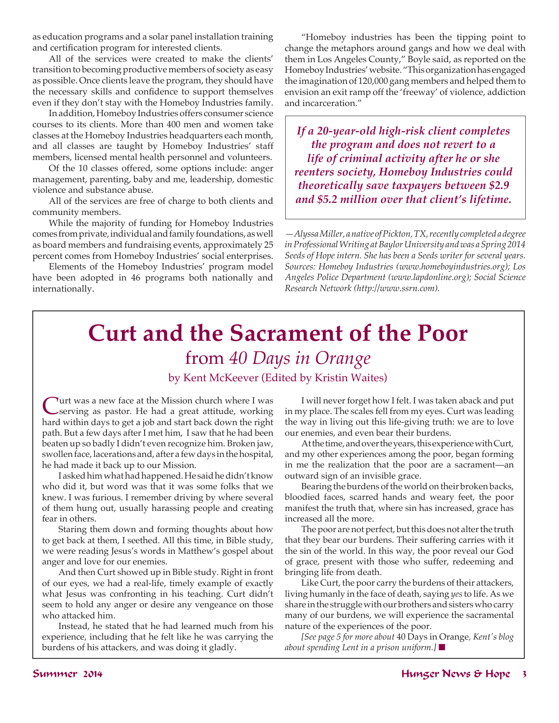as education programs and a solar panel installation training and certification program for interested clients.

All of the services were created to make the clients' transition to becoming productive members of society as easy as possible. Once clients leave the program, they should have the necessary skills and confidence to support themselves even if they don't stay with the Homeboy Industries family.

In addition, Homeboy Industries offers consumer science courses to its clients. More than 400 men and women take classes at the Homeboy Industries headquarters each month, and all classes are taught by Homeboy Industries' staff members, licensed mental health personnel and volunteers.

Of the 10 classes offered, some options include: anger management, parenting, baby and me, leadership, domestic violence and substance abuse.

All of the services are free of charge to both clients and community members.

While the majority of funding for Homeboy Industries comes from private, individual and family foundations, as well as board members and fundraising events, approximately 25 percent comes from Homeboy Industries' social enterprises.

Elements of the Homeboy Industries' program model have been adopted in 46 programs both nationally and internationally.

"Homeboy industries has been the tipping point to change the metaphors around gangs and how we deal with them in Los Angeles County," Boyle said, as reported on the Homeboy Industries' website. "This organization has engaged the imagination of 120,000 gang members and helped them to envision an exit ramp off the 'freeway' of violence, addiction and incarceration."

*If a 20-year-old high-risk client completes the program and does not revert to a life of criminal activity after he or she reenters society, Homeboy Industries could theoretically save taxpayers between \$2.9 and \$5.2 million over that client's lifetime.*

*—Alyssa Miller, a native of Pickton, TX, recently completed a degree in Professional Writing at Baylor University and was a Spring 2014 Seeds of Hope intern. She has been a Seeds writer for several years. Sources: Homeboy Industries (www.homeboyindustries.org); Los Angeles Police Department (www.lapdonline.org); Social Science Research Network (http://www.ssrn.com).*

# **Curt and the Sacrament of the Poor** from *40 Days in Orange* by Kent McKeever (Edited by Kristin Waites)

Turt was a new face at the Mission church where I was serving as pastor. He had a great attitude, working hard within days to get a job and start back down the right path. But a few days after I met him, I saw that he had been beaten up so badly I didn't even recognize him. Broken jaw, swollen face, lacerations and, after a few days in the hospital, he had made it back up to our Mission.

I asked him what had happened. He said he didn't know who did it, but word was that it was some folks that we knew. I was furious. I remember driving by where several of them hung out, usually harassing people and creating fear in others.

Staring them down and forming thoughts about how to get back at them, I seethed. All this time, in Bible study, we were reading Jesus's words in Matthew's gospel about anger and love for our enemies.

And then Curt showed up in Bible study. Right in front of our eyes, we had a real-life, timely example of exactly what Jesus was confronting in his teaching. Curt didn't seem to hold any anger or desire any vengeance on those who attacked him.

Instead, he stated that he had learned much from his experience, including that he felt like he was carrying the burdens of his attackers, and was doing it gladly.

I will never forget how I felt. I was taken aback and put in my place. The scales fell from my eyes. Curt was leading the way in living out this life-giving truth: we are to love our enemies, and even bear their burdens.

At the time, and over the years, this experience with Curt, and my other experiences among the poor, began forming in me the realization that the poor are a sacrament—an outward sign of an invisible grace.

Bearing the burdens of the world on their broken backs, bloodied faces, scarred hands and weary feet, the poor manifest the truth that, where sin has increased, grace has increased all the more.

The poor are not perfect, but this does not alter the truth that they bear our burdens. Their suffering carries with it the sin of the world. In this way, the poor reveal our God of grace, present with those who suffer, redeeming and bringing life from death.

Like Curt, the poor carry the burdens of their attackers, living humanly in the face of death, saying *yes* to life. As we share in the struggle with our brothers and sisters who carry many of our burdens, we will experience the sacramental nature of the experiences of the poor.

*[See page 5 for more about* 40 Days in Orange*, Kent's blog about spending Lent in a prison uniform.*] ■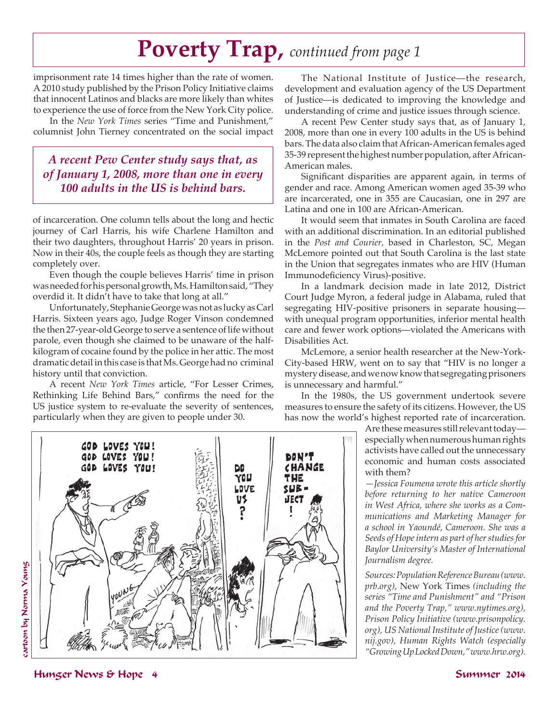# **Poverty Trap,** *continued from page 1*

DON'T CHANGE

THE  $SUB =$ JECT

imprisonment rate 14 times higher than the rate of women. A 2010 study published by the Prison Policy Initiative claims that innocent Latinos and blacks are more likely than whites to experience the use of force from the New York City police.

In the *New York Times* series "Time and Punishment," columnist John Tierney concentrated on the social impact

# *A recent Pew Center study says that, as of January 1, 2008, more than one in every 100 adults in the US is behind bars.*

of incarceration. One column tells about the long and hectic journey of Carl Harris, his wife Charlene Hamilton and their two daughters, throughout Harris' 20 years in prison. Now in their 40s, the couple feels as though they are starting completely over.

Even though the couple believes Harris' time in prison was needed for his personal growth, Ms. Hamilton said, "They overdid it. It didn't have to take that long at all."

Unfortunately, Stephanie George was not as lucky as Carl Harris. Sixteen years ago, Judge Roger Vinson condemned the then 27-year-old George to serve a sentence of life without parole, even though she claimed to be unaware of the halfkilogram of cocaine found by the police in her attic. The most dramatic detail in this case is that Ms. George had no criminal history until that conviction.

A recent *New York Times* article, "For Lesser Crimes, Rethinking Life Behind Bars," confirms the need for the US justice system to re-evaluate the severity of sentences, particularly when they are given to people under 30.

GOD LOVES YOU!

The National Institute of Justice—the research, development and evaluation agency of the US Department of Justice—is dedicated to improving the knowledge and understanding of crime and justice issues through science.

A recent Pew Center study says that, as of January 1, 2008, more than one in every 100 adults in the US is behind bars. The data also claim that African-American females aged 35-39 represent the highest number population, after African-American males.

Significant disparities are apparent again, in terms of gender and race. Among American women aged 35-39 who are incarcerated, one in 355 are Caucasian, one in 297 are Latina and one in 100 are African-American.

It would seem that inmates in South Carolina are faced with an additional discrimination. In an editorial published in the *Post and Courier,* based in Charleston, SC, Megan McLemore pointed out that South Carolina is the last state in the Union that segregates inmates who are HIV (Human Immunodeficiency Virus)-positive.

In a landmark decision made in late 2012, District Court Judge Myron, a federal judge in Alabama, ruled that segregating HIV-positive prisoners in separate housing with unequal program opportunities, inferior mental health care and fewer work options—violated the Americans with Disabilities Act.

McLemore, a senior health researcher at the New-York-City-based HRW, went on to say that "HIV is no longer a mystery disease, and we now know that segregating prisoners is unnecessary and harmful."

In the 1980s, the US government undertook severe measures to ensure the safety of its citizens. However, the US has now the world's highest reported rate of incarceration.

> Are these measures still relevant today especially when numerous human rights activists have called out the unnecessary economic and human costs associated with them?

> *—Jessica Foumena wrote this article shortly before returning to her native Cameroon in West Africa, where she works as a Communications and Marketing Manager for a school in Yaoundé, Cameroon. She was a Seeds of Hope intern as part of her studies for Baylor University's Master of International Journalism degree.*

> *Sources: Population Reference Bureau (www. prb.org),* New York Times *(including the series "Time and Punishment" and "Prison and the Poverty Trap," www.nytimes.org), Prison Policy Initiative (www.prisonpolicy. org), US National Institute of Justice (www. nij.gov), Human Rights Watch (especially "Growing Up Locked Down," www.hrw.org).*

GOD LOVES YOU! LOVES YOU!

## Hunger News & Hope 4 Summer 2014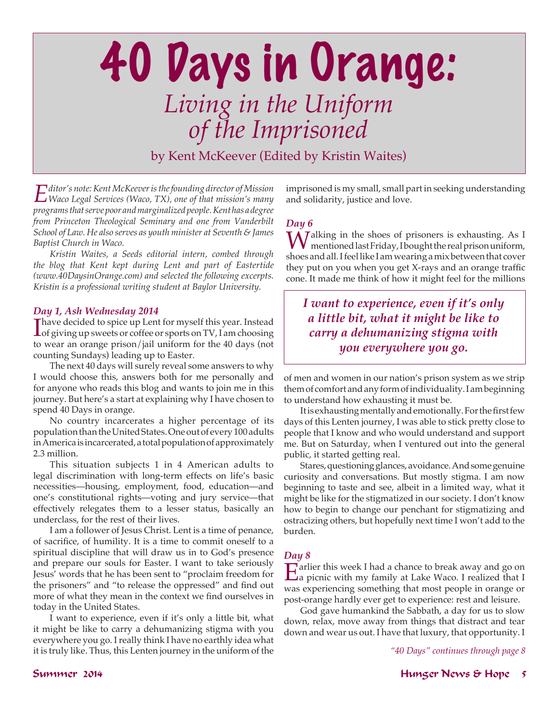# 40 Days in Orange: *Living in the Uniform of the Imprisoned* by Kent McKeever (Edited by Kristin Waites)

*Editor's note: Kent McKeever is the founding director of Mission Waco Legal Services (Waco, TX), one of that mission's many programs that serve poor and marginalized people. Kent has a degree from Princeton Theological Seminary and one from Vanderbilt School of Law. He also serves as youth minister at Seventh & James Baptist Church in Waco.* 

*Kristin Waites, a Seeds editorial intern, combed through the blog that Kent kept during Lent and part of Eastertide (www.40DaysinOrange.com) and selected the following excerpts. Kristin is a professional writing student at Baylor University.*

### *Day 1, Ash Wednesday 2014*

Thave decided to spice up Lent for myself this year. Instead<br>of giving up sweets or coffee or sports on TV, I am choosing of giving up sweets or coffee or sports on TV, I am choosing to wear an orange prison/jail uniform for the 40 days (not counting Sundays) leading up to Easter.

The next 40 days will surely reveal some answers to why I would choose this, answers both for me personally and for anyone who reads this blog and wants to join me in this journey. But here's a start at explaining why I have chosen to spend 40 Days in orange.

No country incarcerates a higher percentage of its population than the United States. One out of every 100 adults in America is incarcerated, a total population of approximately 2.3 million.

This situation subjects 1 in 4 American adults to legal discrimination with long-term effects on life's basic necessities—housing, employment, food, education—and one's constitutional rights—voting and jury service—that effectively relegates them to a lesser status, basically an underclass, for the rest of their lives.

I am a follower of Jesus Christ. Lent is a time of penance, of sacrifice, of humility. It is a time to commit oneself to a spiritual discipline that will draw us in to God's presence and prepare our souls for Easter. I want to take seriously Jesus' words that he has been sent to "proclaim freedom for the prisoners" and "to release the oppressed" and find out more of what they mean in the context we find ourselves in today in the United States.

I want to experience, even if it's only a little bit, what it might be like to carry a dehumanizing stigma with you everywhere you go. I really think I have no earthly idea what it is truly like. Thus, this Lenten journey in the uniform of the

imprisoned is my small, small part in seeking understanding and solidarity, justice and love.

## *Day 6*

Walking in the shoes of prisoners is exhausting. As I mentioned last Friday, I bought the real prison uniform, shoes and all. I feel like I am wearing a mix between that cover they put on you when you get X-rays and an orange traffic cone. It made me think of how it might feel for the millions

*I want to experience, even if it's only a little bit, what it might be like to carry a dehumanizing stigma with you everywhere you go.*

of men and women in our nation's prison system as we strip them of comfort and any form of individuality. I am beginning to understand how exhausting it must be.

It is exhausting mentally and emotionally. For the first few days of this Lenten journey, I was able to stick pretty close to people that I know and who would understand and support me. But on Saturday, when I ventured out into the general public, it started getting real.

Stares, questioning glances, avoidance. And some genuine curiosity and conversations. But mostly stigma. I am now beginning to taste and see, albeit in a limited way, what it might be like for the stigmatized in our society. I don't know how to begin to change our penchant for stigmatizing and ostracizing others, but hopefully next time I won't add to the burden.

## *Day 8*

Earlier this week I had a chance to break away and go on a picnic with my family at Lake Waco. I realized that I was experiencing something that most people in orange or post-orange hardly ever get to experience: rest and leisure.

God gave humankind the Sabbath, a day for us to slow down, relax, move away from things that distract and tear down and wear us out. I have that luxury, that opportunity. I

*"40 Days" continues through page 8*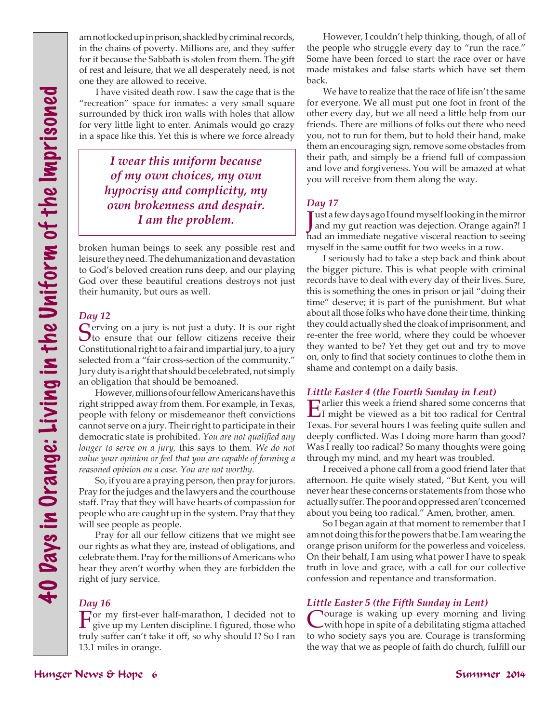am not locked up in prison, shackled by criminal records, in the chains of poverty. Millions are, and they suffer for it because the Sabbath is stolen from them. The gift of rest and leisure, that we all desperately need, is not one they are allowed to receive.

I have visited death row. I saw the cage that is the "recreation" space for inmates: a very small square surrounded by thick iron walls with holes that allow for very little light to enter. Animals would go crazy in a space like this. Yet this is where we force already

> *I wear this uniform because of my own choices, my own hypocrisy and complicity, my own brokenness and despair. I am the problem.*

broken human beings to seek any possible rest and leisure they need. The dehumanization and devastation to God's beloved creation runs deep, and our playing God over these beautiful creations destroys not just their humanity, but ours as well.

## *Day 12*

 $\bigcap$  erving on a jury is not just a duty. It is our right  $\mathbf{\mathcal{O}}$  to ensure that our fellow citizens receive their Constitutional right to a fair and impartial jury, to a jury selected from a "fair cross-section of the community." Jury duty is a right that should be celebrated, not simply an obligation that should be bemoaned.

However, millions of our fellow Americans have this right stripped away from them. For example, in Texas, people with felony or misdemeanor theft convictions cannot serve on a jury. Their right to participate in their democratic state is prohibited. *You are not qualified any longer to serve on a jury,* this says to them*. We do not value your opinion or feel that you are capable of forming a reasoned opinion on a case. You are not worthy.*

So, if you are a praying person, then pray for jurors. Pray for the judges and the lawyers and the courthouse staff. Pray that they will have hearts of compassion for people who are caught up in the system. Pray that they will see people as people.

Pray for all our fellow citizens that we might see our rights as what they are, instead of obligations, and celebrate them. Pray for the millions of Americans who hear they aren't worthy when they are forbidden the right of jury service.

#### *Day 16*

For my first-ever half-marathon, I decided not to give up my Lenten discipline. I figured, those who truly suffer can't take it off, so why should I? So I ran 13.1 miles in orange.

However, I couldn't help thinking, though, of all of the people who struggle every day to "run the race." Some have been forced to start the race over or have made mistakes and false starts which have set them back.

We have to realize that the race of life isn't the same for everyone. We all must put one foot in front of the other every day, but we all need a little help from our friends. There are millions of folks out there who need you, not to run for them, but to hold their hand, make them an encouraging sign, remove some obstacles from their path, and simply be a friend full of compassion and love and forgiveness. You will be amazed at what you will receive from them along the way.

### *Day 17*

J ust a few days ago I found myself looking in the mirror and my gut reaction was dejection. Orange again?! I had an immediate negative visceral reaction to seeing myself in the same outfit for two weeks in a row.

**Hunger Controllers of the controllers of the summarized by the controllers of the Imprisoned by the Controllers of the Imprisoned by the Controllers of the Imprisoned by the Controllers of the Imprisoned by the United By** I seriously had to take a step back and think about the bigger picture. This is what people with criminal records have to deal with every day of their lives. Sure, this is something the ones in prison or jail "doing their time" deserve; it is part of the punishment. But what about all those folks who have done their time, thinking they could actually shed the cloak of imprisonment, and re-enter the free world, where they could be whoever they wanted to be? Yet they get out and try to move on, only to find that society continues to clothe them in shame and contempt on a daily basis.

#### *Little Easter 4 (the Fourth Sunday in Lent)*

Earlier this week a friend shared some concerns that I might be viewed as a bit too radical for Central Texas. For several hours I was feeling quite sullen and deeply conflicted. Was I doing more harm than good? Was I really too radical? So many thoughts were going through my mind, and my heart was troubled.

I received a phone call from a good friend later that afternoon. He quite wisely stated, "But Kent, you will never hear these concerns or statements from those who actually suffer. The poor and oppressed aren't concerned about you being too radical." Amen, brother, amen.

So I began again at that moment to remember that I am not doing this for the powers that be. I am wearing the orange prison uniform for the powerless and voiceless. On their behalf, I am using what power I have to speak truth in love and grace, with a call for our collective confession and repentance and transformation.

#### *Little Easter 5 (the Fifth Sunday in Lent)*

Tourage is waking up every morning and living with hope in spite of a debilitating stigma attached to who society says you are. Courage is transforming the way that we as people of faith do church, fulfill our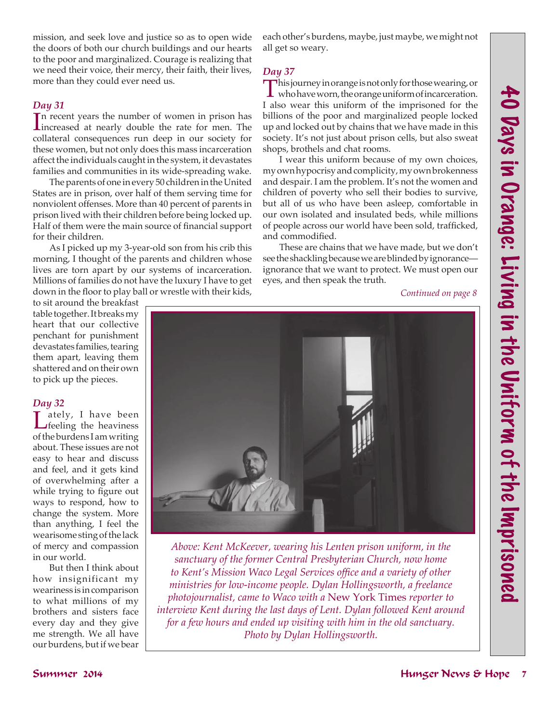mission, and seek love and justice so as to open wide the doors of both our church buildings and our hearts to the poor and marginalized. Courage is realizing that we need their voice, their mercy, their faith, their lives, more than they could ever need us.

### *Day 31*

In recent years the number of women in prison has<br>increased at nearly double the rate for men. The n recent years the number of women in prison has collateral consequences run deep in our society for these women, but not only does this mass incarceration affect the individuals caught in the system, it devastates families and communities in its wide-spreading wake.

The parents of one in every 50 children in the United States are in prison, over half of them serving time for nonviolent offenses. More than 40 percent of parents in prison lived with their children before being locked up. Half of them were the main source of financial support for their children.

As I picked up my 3-year-old son from his crib this morning, I thought of the parents and children whose lives are torn apart by our systems of incarceration. Millions of families do not have the luxury I have to get down in the floor to play ball or wrestle with their kids,

to sit around the breakfast table together. It breaks my heart that our collective penchant for punishment devastates families, tearing them apart, leaving them shattered and on their own to pick up the pieces.

#### *Day 32*

 $\prod_{\text{feeling}}$  the heaviness of the burdens I am writing about. These issues are not easy to hear and discuss and feel, and it gets kind of overwhelming after a while trying to figure out ways to respond, how to change the system. More than anything, I feel the wearisome sting of the lack of mercy and compassion in our world.

But then I think about how insignificant my weariness is in comparison to what millions of my brothers and sisters face every day and they give me strength. We all have our burdens, but if we bear each other's burdens, maybe, just maybe, we might not all get so weary.

### *Day 37*

This journey in orange is not only for those wearing, or who have worn, the orange uniform of incarceration. I also wear this uniform of the imprisoned for the billions of the poor and marginalized people locked up and locked out by chains that we have made in this society. It's not just about prison cells, but also sweat shops, brothels and chat rooms.

I wear this uniform because of my own choices, my own hypocrisy and complicity, my own brokenness and despair. I am the problem. It's not the women and children of poverty who sell their bodies to survive, but all of us who have been asleep, comfortable in our own isolated and insulated beds, while millions of people across our world have been sold, trafficked, and commodified.

These are chains that we have made, but we don't see the shackling because we are blinded by ignorance ignorance that we want to protect. We must open our eyes, and then speak the truth.

 *Continued on page 8*



*sanctuary of the former Central Presbyterian Church, now home to Kent's Mission Waco Legal Services office and a variety of other ministries for low-income people. Dylan Hollingsworth, a freelance photojournalist, came to Waco with a* New York Times *reporter to interview Kent during the last days of Lent. Dylan followed Kent around for a few hours and ended up visiting with him in the old sanctuary. Photo by Dylan Hollingsworth.*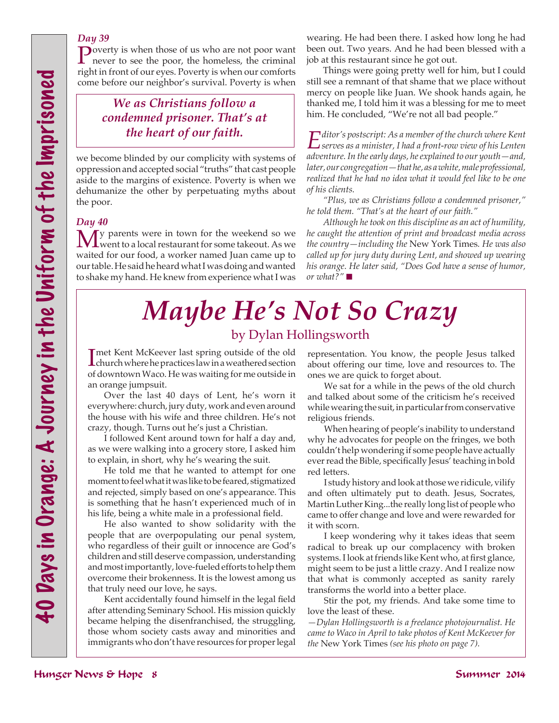### *Day 39*

Poverty is when those of us who are not poor want never to see the poor, the homeless, the criminal right in front of our eyes. Poverty is when our comforts come before our neighbor's survival. Poverty is when

# *We as Christians follow a condemned prisoner. That's at the heart of our faith.*

we become blinded by our complicity with systems of oppression and accepted social "truths" that cast people aside to the margins of existence. Poverty is when we dehumanize the other by perpetuating myths about the poor.

### *Day 40*

**M** y parents were in town for the weekend so we were the solution of the weekend so we were takeout. As we waited for our food, a worker named Juan came up to our table. He said he heard what I was doing and wanted to shake my hand. He knew from experience what I was

wearing. He had been there. I asked how long he had been out. Two years. And he had been blessed with a job at this restaurant since he got out.

Things were going pretty well for him, but I could still see a remnant of that shame that we place without mercy on people like Juan. We shook hands again, he thanked me, I told him it was a blessing for me to meet him. He concluded, "We're not all bad people."

*Editor's postscript: As a member of the church where Kent serves as a minister, I had a front-row view of his Lenten adventure. In the early days, he explained to our youth—and, later, our congregation—that he, as a white, male professional, realized that he had no idea what it would feel like to be one of his clients.* 

*"Plus, we as Christians follow a condemned prisoner," he told them. "That's at the heart of our faith."*

*Although he took on this discipline as an act of humility, he caught the attention of print and broadcast media across the country—including the* New York Times*. He was also called up for jury duty during Lent, and showed up wearing his orange. He later said, "Does God have a sense of humor, or what?"* ■

# *Maybe He's Not So Crazy* by Dylan Hollingsworth

Imet Kent McKeever last spring outside of the old<br>
church where he practices law in a weathered section met Kent McKeever last spring outside of the old of downtown Waco. He was waiting for me outside in an orange jumpsuit.

Over the last 40 days of Lent, he's worn it everywhere: church, jury duty, work and even around the house with his wife and three children. He's not crazy, though. Turns out he's just a Christian.

I followed Kent around town for half a day and, as we were walking into a grocery store, I asked him to explain, in short, why he's wearing the suit.

He told me that he wanted to attempt for one moment to feel what it was like to be feared, stigmatized and rejected, simply based on one's appearance. This is something that he hasn't experienced much of in his life, being a white male in a professional field.

**EXERECTS**<br>
And the second state is the Unit of the Imprinter and the Imprinter of the Imprinter and the Imprinter of the Imprisoned Ten the Imprinter and the Imprisoned Ten the Imprisoned Ten the Imprisoned Ten the Impri He also wanted to show solidarity with the people that are overpopulating our penal system, who regardless of their guilt or innocence are God's children and still deserve compassion, understanding and most importantly, love-fueled efforts to help them overcome their brokenness. It is the lowest among us that truly need our love, he says.

Kent accidentally found himself in the legal field after attending Seminary School. His mission quickly became helping the disenfranchised, the struggling, those whom society casts away and minorities and immigrants who don't have resources for proper legal representation. You know, the people Jesus talked about offering our time, love and resources to. The ones we are quick to forget about.

We sat for a while in the pews of the old church and talked about some of the criticism he's received while wearing the suit, in particular from conservative religious friends.

When hearing of people's inability to understand why he advocates for people on the fringes, we both couldn't help wondering if some people have actually ever read the Bible, specifically Jesus' teaching in bold red letters.

I study history and look at those we ridicule, vilify and often ultimately put to death. Jesus, Socrates, Martin Luther King...the really long list of people who came to offer change and love and were rewarded for it with scorn.

I keep wondering why it takes ideas that seem radical to break up our complacency with broken systems. I look at friends like Kent who, at first glance, might seem to be just a little crazy. And I realize now that what is commonly accepted as sanity rarely transforms the world into a better place.

Stir the pot, my friends. And take some time to love the least of these.

*—Dylan Hollingsworth is a freelance photojournalist. He came to Waco in April to take photos of Kent McKeever for the* New York Times *(see his photo on page 7).*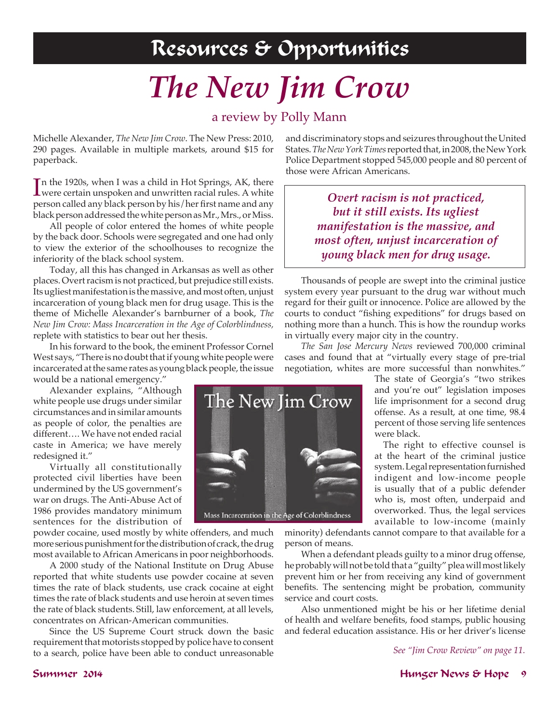# Resources & Opportunities

# *The New Jim Crow*

# a review by Polly Mann

Michelle Alexander, *The New Jim Crow*. The New Press: 2010, 290 pages. Available in multiple markets, around \$15 for paperback.

In the 1920s, when I was a child in Hot Springs, AK, there<br>were certain unspoken and unwritten racial rules. A white n the 1920s, when I was a child in Hot Springs, AK, there person called any black person by his/her first name and any black person addressed the white person as Mr., Mrs., or Miss.

All people of color entered the homes of white people by the back door. Schools were segregated and one had only to view the exterior of the schoolhouses to recognize the inferiority of the black school system.

Today, all this has changed in Arkansas as well as other places. Overt racism is not practiced, but prejudice still exists. Its ugliest manifestation is the massive, and most often, unjust incarceration of young black men for drug usage. This is the theme of Michelle Alexander's barnburner of a book, *The New Jim Crow: Mass Incarceration in the Age of Colorblindness,* replete with statistics to bear out her thesis.

In his forward to the book, the eminent Professor Cornel West says, "There is no doubt that if young white people were incarcerated at the same rates as young black people, the issue would be a national emergency."

Alexander explains, "Although white people use drugs under similar circumstances and in similar amounts as people of color, the penalties are different…. We have not ended racial caste in America; we have merely redesigned it."

Virtually all constitutionally protected civil liberties have been undermined by the US government's war on drugs. The Anti-Abuse Act of 1986 provides mandatory minimum sentences for the distribution of

powder cocaine, used mostly by white offenders, and much more serious punishment for the distribution of crack, the drug most available to African Americans in poor neighborhoods.

A 2000 study of the National Institute on Drug Abuse reported that white students use powder cocaine at seven times the rate of black students, use crack cocaine at eight times the rate of black students and use heroin at seven times the rate of black students. Still, law enforcement, at all levels, concentrates on African-American communities.

Since the US Supreme Court struck down the basic requirement that motorists stopped by police have to consent to a search, police have been able to conduct unreasonable

and discriminatory stops and seizures throughout the United States. *The New York Times* reported that, in 2008, the New York Police Department stopped 545,000 people and 80 percent of those were African Americans.

> *Overt racism is not practiced, but it still exists. Its ugliest manifestation is the massive, and most often, unjust incarceration of young black men for drug usage.*

Thousands of people are swept into the criminal justice system every year pursuant to the drug war without much regard for their guilt or innocence. Police are allowed by the courts to conduct "fishing expeditions" for drugs based on nothing more than a hunch. This is how the roundup works in virtually every major city in the country.

*The San Jose Mercury News* reviewed 700,000 criminal cases and found that at "virtually every stage of pre-trial negotiation, whites are more successful than nonwhites."

> The state of Georgia's "two strikes and you're out" legislation imposes life imprisonment for a second drug offense. As a result, at one time, 98.4 percent of those serving life sentences were black.

> The right to effective counsel is at the heart of the criminal justice system. Legal representation furnished indigent and low-income people is usually that of a public defender who is, most often, underpaid and overworked. Thus, the legal services available to low-income (mainly

minority) defendants cannot compare to that available for a person of means.

When a defendant pleads guilty to a minor drug offense, he probably will not be told that a "guilty" plea will most likely prevent him or her from receiving any kind of government benefits. The sentencing might be probation, community service and court costs.

Also unmentioned might be his or her lifetime denial of health and welfare benefits, food stamps, public housing and federal education assistance. His or her driver's license

*See "Jim Crow Review" on page 11.*

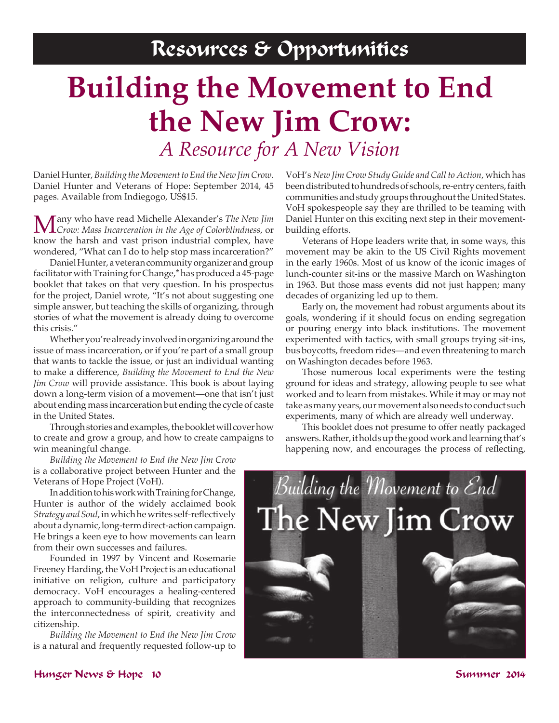# **Building the Movement to End the New Jim Crow:** *A Resource for A New Vision*

Daniel Hunter, *Building the Movement to End the New Jim Crow.* Daniel Hunter and Veterans of Hope: September 2014, 45 pages. Available from Indiegogo, US\$15.

Many who have read Michelle Alexander's *The New Jim Crow: Mass Incarceration in the Age of Colorblindness*, or know the harsh and vast prison industrial complex, have wondered, "What can I do to help stop mass incarceration?"

Daniel Hunter, a veteran community organizer and group facilitator with Training for Change,\* has produced a 45-page booklet that takes on that very question. In his prospectus for the project, Daniel wrote, "It's not about suggesting one simple answer, but teaching the skills of organizing, through stories of what the movement is already doing to overcome this crisis."

Whether you're already involved in organizing around the issue of mass incarceration, or if you're part of a small group that wants to tackle the issue, or just an individual wanting to make a difference, *Building the Movement to End the New Jim Crow* will provide assistance. This book is about laying down a long-term vision of a movement—one that isn't just about ending mass incarceration but ending the cycle of caste in the United States.

Through stories and examples, the booklet will cover how to create and grow a group, and how to create campaigns to win meaningful change.

*Building the Movement to End the New Jim Crow*  is a collaborative project between Hunter and the Veterans of Hope Project (VoH).

In addition to his work with Training for Change, Hunter is author of the widely acclaimed book *Strategy and Soul*, in whichhe writes self-reflectively about a dynamic, long-term direct-action campaign. He brings a keen eye to how movements can learn from their own successes and failures.

Founded in 1997 by Vincent and Rosemarie Freeney Harding, the VoH Project is an educational initiative on religion, culture and participatory democracy. VoH encourages a healing-centered approach to community-building that recognizes the interconnectedness of spirit, creativity and citizenship.

*Building the Movement to End the New Jim Crow* is a natural and frequently requested follow-up to VoH's *New Jim Crow Study Guide and Call to Action*, which has been distributed to hundreds of schools, re-entry centers, faith communities and study groups throughout the United States. VoH spokespeople say they are thrilled to be teaming with Daniel Hunter on this exciting next step in their movementbuilding efforts.

Veterans of Hope leaders write that, in some ways, this movement may be akin to the US Civil Rights movement in the early 1960s. Most of us know of the iconic images of lunch-counter sit-ins or the massive March on Washington in 1963. But those mass events did not just happen; many decades of organizing led up to them.

Early on, the movement had robust arguments about its goals, wondering if it should focus on ending segregation or pouring energy into black institutions. The movement experimented with tactics, with small groups trying sit-ins, bus boycotts, freedom rides—and even threatening to march on Washington decades before 1963.

Those numerous local experiments were the testing ground for ideas and strategy, allowing people to see what worked and to learn from mistakes. While it may or may not take as many years, our movement also needs to conduct such experiments, many of which are already well underway.

This booklet does not presume to offer neatly packaged answers. Rather, it holds up the good work and learning that's happening now, and encourages the process of reflecting,



## Hunger News & Hope 10 Summer 2014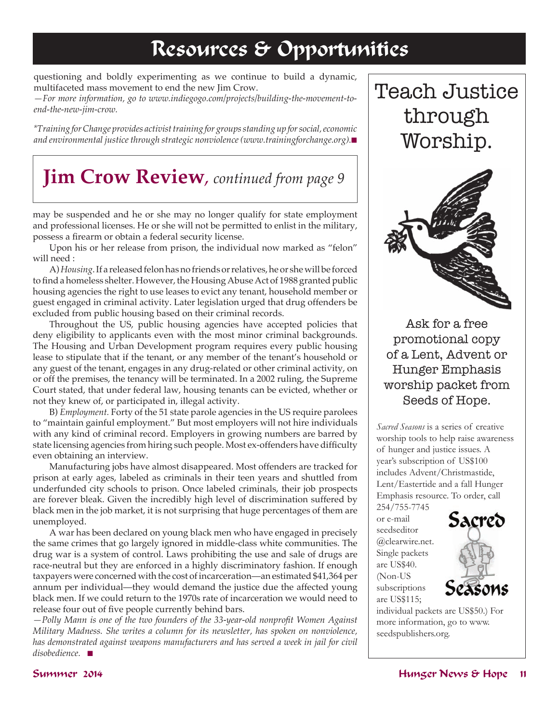# Resources & Opportunities

questioning and boldly experimenting as we continue to build a dynamic, multifaceted mass movement to end the new Jim Crow.

*—For more information, go to www.indiegogo.com/projects/building-the-movement-toend-the-new-jim-crow.* 

*\*Training for Change provides activist training for groups standing up for social, economic and environmental justice through strategic nonviolence (www.trainingforchange.org).* 

# **Jim Crow Review***, continued from page 9*

may be suspended and he or she may no longer qualify for state employment and professional licenses. He or she will not be permitted to enlist in the military, possess a firearm or obtain a federal security license.

Upon his or her release from prison, the individual now marked as "felon" will need :

A) *Housing*. If a released felon has no friends or relatives, he or she will be forced to find a homeless shelter. However, the Housing Abuse Act of 1988 granted public housing agencies the right to use leases to evict any tenant, household member or guest engaged in criminal activity. Later legislation urged that drug offenders be excluded from public housing based on their criminal records.

Throughout the US, public housing agencies have accepted policies that deny eligibility to applicants even with the most minor criminal backgrounds. The Housing and Urban Development program requires every public housing lease to stipulate that if the tenant, or any member of the tenant's household or any guest of the tenant, engages in any drug-related or other criminal activity, on or off the premises, the tenancy will be terminated. In a 2002 ruling, the Supreme Court stated, that under federal law, housing tenants can be evicted, whether or not they knew of, or participated in, illegal activity.

B) *Employment.* Forty of the 51 state parole agencies in the US require parolees to "maintain gainful employment." But most employers will not hire individuals with any kind of criminal record. Employers in growing numbers are barred by state licensing agencies from hiring such people. Most ex-offenders have difficulty even obtaining an interview.

Manufacturing jobs have almost disappeared. Most offenders are tracked for prison at early ages, labeled as criminals in their teen years and shuttled from underfunded city schools to prison. Once labeled criminals, their job prospects are forever bleak. Given the incredibly high level of discrimination suffered by black men in the job market, it is not surprising that huge percentages of them are unemployed.

A war has been declared on young black men who have engaged in precisely the same crimes that go largely ignored in middle-class white communities. The drug war is a system of control. Laws prohibiting the use and sale of drugs are race-neutral but they are enforced in a highly discriminatory fashion. If enough taxpayers were concerned with the cost of incarceration—an estimated \$41,364 per annum per individual—they would demand the justice due the affected young black men. If we could return to the 1970s rate of incarceration we would need to release four out of five people currently behind bars.

*—Polly Mann is one of the two founders of the 33-year-old nonprofit Women Against Military Madness. She writes a column for its newsletter, has spoken on nonviolence,*  has demonstrated against weapons manufacturers and has served a week in jail for civil *disobedience.* n

Teach Justice through Worship.



Ask for a free promotional copy of a Lent, Advent or Hunger Emphasis worship packet from Seeds of Hope.

*Sacred Seasons* is a series of creative worship tools to help raise awareness of hunger and justice issues. A year's subscription of US\$100 includes Advent/Christmastide, Lent/Eastertide and a fall Hunger Emphasis resource. To order, call 254/755-7745

or e-mail seedseditor @clearwire.net. Single packets are US\$40. (Non-US subscriptions are US\$115;



individual packets are US\$50.) For more information, go to www. seedspublishers.org.